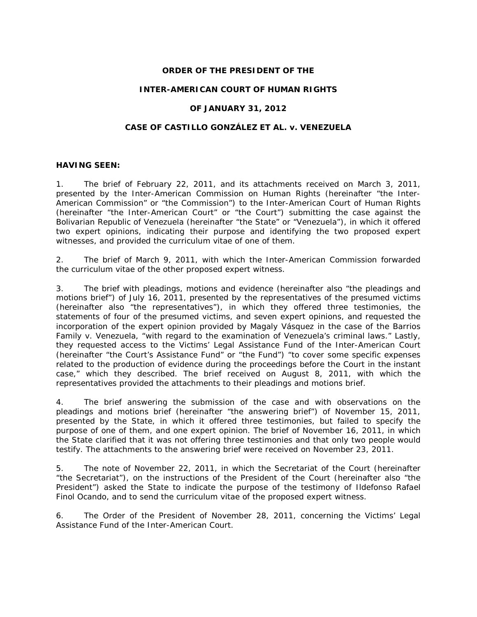#### **ORDER OF THE PRESIDENT OF THE**

#### **INTER-AMERICAN COURT OF HUMAN RIGHTS**

#### **OF JANUARY 31, 2012**

#### **CASE OF CASTILLO GONZÁLEZ** *ET AL. v.* **VENEZUELA**

#### **HAVING SEEN:**

1. The brief of February 22, 2011, and its attachments received on March 3, 2011, presented by the Inter-American Commission on Human Rights (hereinafter "the Inter-American Commission" or "the Commission") to the Inter-American Court of Human Rights (hereinafter "the Inter-American Court" or "the Court") submitting the case against the Bolivarian Republic of Venezuela (hereinafter "the State" or "Venezuela"), in which it offered two expert opinions, indicating their purpose and identifying the two proposed expert witnesses, and provided the curriculum vitae of one of them.

2. The brief of March 9, 2011, with which the Inter-American Commission forwarded the curriculum vitae of the other proposed expert witness.

3. The brief with pleadings, motions and evidence (hereinafter also "the pleadings and motions brief") of July 16, 2011, presented by the representatives of the presumed victims (hereinafter also "the representatives"), in which they offered three testimonies, the statements of four of the presumed victims, and seven expert opinions, and requested the incorporation of the expert opinion provided by Magaly Vásquez in the *case of the Barrios Family v. Venezuela,* "with regard to the examination of Venezuela's criminal laws." Lastly, they requested access to the Victims' Legal Assistance Fund of the Inter-American Court (hereinafter "the Court's Assistance Fund" or "the Fund") "to cover some specific expenses related to the production of evidence during the proceedings before the Court in the instant case," which they described. The brief received on August 8, 2011, with which the representatives provided the attachments to their pleadings and motions brief.

4. The brief answering the submission of the case and with observations on the pleadings and motions brief (hereinafter "the answering brief") of November 15, 2011, presented by the State, in which it offered three testimonies, but failed to specify the purpose of one of them, and one expert opinion. The brief of November 16, 2011, in which the State clarified that it was not offering three testimonies and that only two people would testify. The attachments to the answering brief were received on November 23, 2011.

5. The note of November 22, 2011, in which the Secretariat of the Court (hereinafter "the Secretariat"), on the instructions of the President of the Court (hereinafter also "the President") asked the State to indicate the purpose of the testimony of Ildefonso Rafael Finol Ocando, and to send the curriculum vitae of the proposed expert witness.

6. The Order of the President of November 28, 2011, concerning the Victims' Legal Assistance Fund of the Inter-American Court.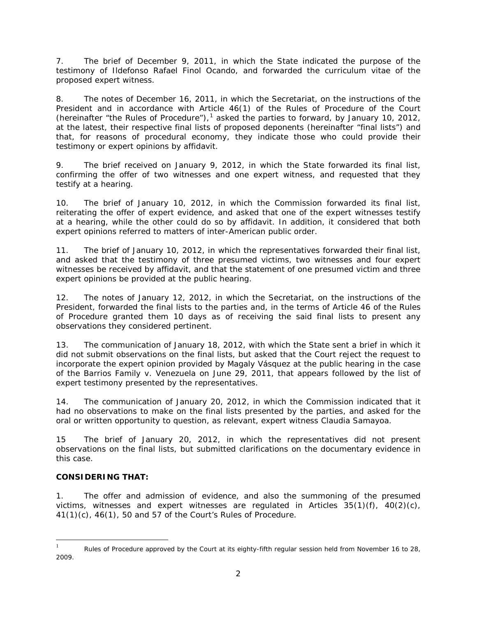7. The brief of December 9, 2011, in which the State indicated the purpose of the testimony of Ildefonso Rafael Finol Ocando, and forwarded the curriculum vitae of the proposed expert witness.

8. The notes of December 16, 2011, in which the Secretariat, on the instructions of the President and in accordance with Article 46(1) of the Rules of Procedure of the Court (hereinafter "the Rules of Procedure"), $1$  asked the parties to forward, by January 10, 2012, at the latest, their respective final lists of proposed deponents (hereinafter "final lists") and that, for reasons of procedural economy, they indicate those who could provide their testimony or expert opinions by affidavit.

9. The brief received on January 9, 2012, in which the State forwarded its final list, confirming the offer of two witnesses and one expert witness, and requested that they testify at a hearing.

10. The brief of January 10, 2012, in which the Commission forwarded its final list, reiterating the offer of expert evidence, and asked that one of the expert witnesses testify at a hearing, while the other could do so by affidavit. In addition, it considered that both expert opinions referred to matters of inter-American public order.

11. The brief of January 10, 2012, in which the representatives forwarded their final list, and asked that the testimony of three presumed victims, two witnesses and four expert witnesses be received by affidavit, and that the statement of one presumed victim and three expert opinions be provided at the public hearing.

12. The notes of January 12, 2012, in which the Secretariat, on the instructions of the President, forwarded the final lists to the parties and, in the terms of Article 46 of the Rules of Procedure granted them 10 days as of receiving the said final lists to present any observations they considered pertinent.

13. The communication of January 18, 2012, with which the State sent a brief in which it did not submit observations on the final lists, but asked that the Court reject the request to incorporate the expert opinion provided by Magaly Vásquez at the public hearing in the *case of the Barrios Family v. Venezuela* on June 29, 2011, that appears followed by the list of expert testimony presented by the representatives.

14. The communication of January 20, 2012, in which the Commission indicated that it had no observations to make on the final lists presented by the parties, and asked for the oral or written opportunity to question, as relevant, expert witness Claudia Samayoa.

15 The brief of January 20, 2012, in which the representatives did not present observations on the final lists, but submitted clarifications on the documentary evidence in this case.

# **CONSIDERING THAT:**

1. The offer and admission of evidence, and also the summoning of the presumed victims, witnesses and expert witnesses are regulated in Articles 35(1)(f), 40(2)(c), 41(1)(c), 46(1), 50 and 57 of the Court's Rules of Procedure.

<span id="page-1-0"></span><sup>&</sup>lt;sup>1</sup> Rules of Procedure approved by the Court at its eighty-fifth regular session held from November 16 to 28, 2009.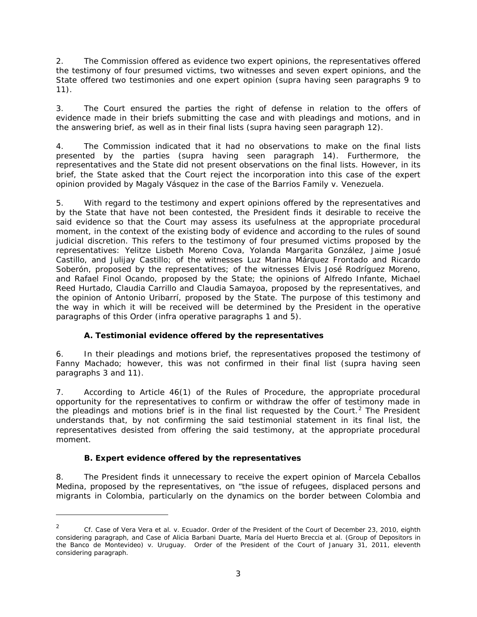2. The Commission offered as evidence two expert opinions, the representatives offered the testimony of four presumed victims, two witnesses and seven expert opinions, and the State offered two testimonies and one expert opinion (*supra* having seen paragraphs 9 to 11).

3. The Court ensured the parties the right of defense in relation to the offers of evidence made in their briefs submitting the case and with pleadings and motions, and in the answering brief, as well as in their final lists (*supra* having seen paragraph 12).

4. The Commission indicated that it had no observations to make on the final lists presented by the parties (*supra* having seen paragraph 14). Furthermore, the representatives and the State did not present observations on the final lists. However, in its brief, the State asked that the Court reject the incorporation into this case of the expert opinion provided by Magaly Vásquez in *the case of the Barrios Family v. Venezuela.*

5. With regard to the testimony and expert opinions offered by the representatives and by the State that have not been contested, the President finds it desirable to receive the said evidence so that the Court may assess its usefulness at the appropriate procedural moment, in the context of the existing body of evidence and according to the rules of sound judicial discretion. This refers to the testimony of four presumed victims proposed by the representatives: Yelitze Lisbeth Moreno Cova, Yolanda Margarita González, Jaime Josué Castillo, and Julijay Castillo; of the witnesses Luz Marina Márquez Frontado and Ricardo Soberón, proposed by the representatives; of the witnesses Elvis José Rodríguez Moreno, and Rafael Finol Ocando, proposed by the State; the opinions of Alfredo Infante, Michael Reed Hurtado, Claudia Carrillo and Claudia Samayoa, proposed by the representatives, and the opinion of Antonio Uribarrí, proposed by the State. The purpose of this testimony and the way in which it will be received will be determined by the President in the operative paragraphs of this Order (*infra* operative paragraphs 1 and 5).

# *A. Testimonial evidence offered by the representatives*

6. In their pleadings and motions brief, the representatives proposed the testimony of Fanny Machado; however, this was not confirmed in their final list (*supra* having seen paragraphs 3 and 11).

7. According to Article 46(1) of the Rules of Procedure, the appropriate procedural opportunity for the representatives to confirm or withdraw the offer of testimony made in the pleadings and motions brief is in the final list requested by the Court.<sup>[2](#page-2-0)</sup> The President understands that, by not confirming the said testimonial statement in its final list, the representatives desisted from offering the said testimony, at the appropriate procedural moment.

# *B. Expert evidence offered by the representatives*

 $\overline{a}$ 

8. The President finds it unnecessary to receive the expert opinion of Marcela Ceballos Medina, proposed by the representatives, on "the issue of refugees, displaced persons and migrants in Colombia, particularly on the dynamics on the border between Colombia and

<span id="page-2-0"></span><sup>2</sup> *Cf. Case of Vera Vera* et al. *v. Ecuador*. Order of the President of the Court of December 23, 2010, eighth considering paragraph, and *Case of Alicia Barbani Duarte, María del Huerto Breccia et al. (Group of Depositors in the Banco de Montevideo) v. Uruguay.* Order of the President of the Court of January 31, 2011, eleventh considering paragraph.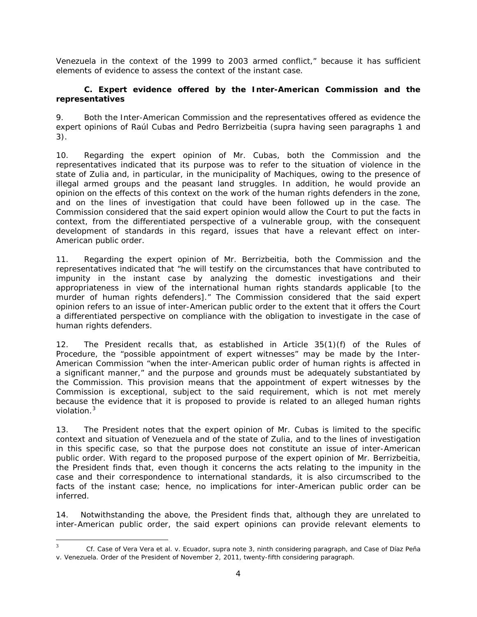Venezuela in the context of the 1999 to 2003 armed conflict," because it has sufficient elements of evidence to assess the context of the instant case.

## *C. Expert evidence offered by the Inter-American Commission and the representatives*

9. Both the Inter-American Commission and the representatives offered as evidence the expert opinions of Raúl Cubas and Pedro Berrizbeitia (*supra* having seen paragraphs 1 and 3).

10. Regarding the expert opinion of Mr. Cubas, both the Commission and the representatives indicated that its purpose was to refer to the situation of violence in the state of Zulia and, in particular, in the municipality of Machiques, owing to the presence of illegal armed groups and the peasant land struggles. In addition, he would provide an opinion on the effects of this context on the work of the human rights defenders in the zone, and on the lines of investigation that could have been followed up in the case. The Commission considered that the said expert opinion would allow the Court to put the facts in context, from the differentiated perspective of a vulnerable group, with the consequent development of standards in this regard, issues that have a relevant effect on inter-American public order.

11. Regarding the expert opinion of Mr. Berrizbeitia, both the Commission and the representatives indicated that "he will testify on the circumstances that have contributed to impunity in the instant case by analyzing the domestic investigations and their appropriateness in view of the international human rights standards applicable [to the murder of human rights defenders]." The Commission considered that the said expert opinion refers to an issue of inter-American public order to the extent that it offers the Court a differentiated perspective on compliance with the obligation to investigate in the case of human rights defenders.

12. The President recalls that, as established in Article 35(1)(f) of the Rules of Procedure, the "possible appointment of expert witnesses" may be made by the Inter-American Commission "when the inter-American public order of human rights is affected in a significant manner," and the purpose and grounds must be adequately substantiated by the Commission. This provision means that the appointment of expert witnesses by the Commission is exceptional, subject to the said requirement, which is not met merely because the evidence that it is proposed to provide is related to an alleged human rights violation.<sup>[3](#page-3-0)</sup>

13. The President notes that the expert opinion of Mr. Cubas is limited to the specific context and situation of Venezuela and of the state of Zulia, and to the lines of investigation in this specific case, so that the purpose does not constitute an issue of inter-American public order. With regard to the proposed purpose of the expert opinion of Mr. Berrizbeitia, the President finds that, even though it concerns the acts relating to the impunity in the case and their correspondence to international standards, it is also circumscribed to the facts of the instant case; hence, no implications for inter-American public order can be inferred.

14. Notwithstanding the above, the President finds that, although they are unrelated to inter-American public order, the said expert opinions can provide relevant elements to

<span id="page-3-0"></span> <sup>3</sup> *Cf. Case of Vera Vera* et al. *v. Ecuador*, *supra* note 3, ninth considering paragraph, and *Case of Díaz Peña v. Venezuela*. Order of the President of November 2, 2011, twenty-fifth considering paragraph.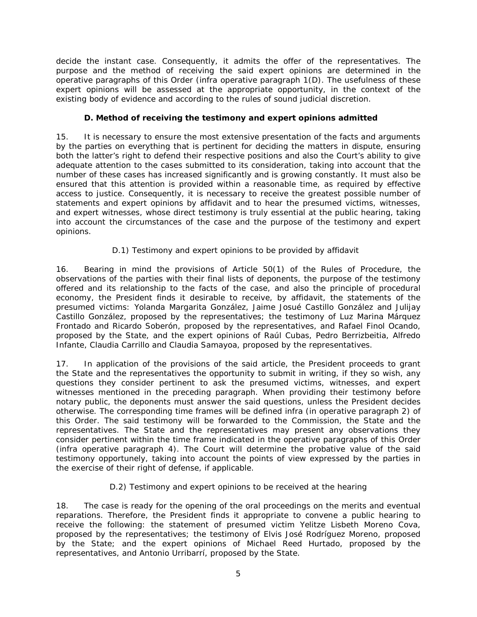decide the instant case. Consequently, it admits the offer of the representatives. The purpose and the method of receiving the said expert opinions are determined in the operative paragraphs of this Order (*infra* operative paragraph 1(D). The usefulness of these expert opinions will be assessed at the appropriate opportunity, in the context of the existing body of evidence and according to the rules of sound judicial discretion.

# *D. Method of receiving the testimony and expert opinions admitted*

15. It is necessary to ensure the most extensive presentation of the facts and arguments by the parties on everything that is pertinent for deciding the matters in dispute, ensuring both the latter's right to defend their respective positions and also the Court's ability to give adequate attention to the cases submitted to its consideration, taking into account that the number of these cases has increased significantly and is growing constantly. It must also be ensured that this attention is provided within a reasonable time, as required by effective access to justice. Consequently, it is necessary to receive the greatest possible number of statements and expert opinions by affidavit and to hear the presumed victims, witnesses, and expert witnesses, whose direct testimony is truly essential at the public hearing, taking into account the circumstances of the case and the purpose of the testimony and expert opinions.

# *D.1) Testimony and expert opinions to be provided by affidavit*

16. Bearing in mind the provisions of Article 50(1) of the Rules of Procedure, the observations of the parties with their final lists of deponents, the purpose of the testimony offered and its relationship to the facts of the case, and also the principle of procedural economy, the President finds it desirable to receive, by affidavit, the statements of the presumed victims: Yolanda Margarita González, Jaime Josué Castillo González and Julijay Castillo González, proposed by the representatives; the testimony of Luz Marina Márquez Frontado and Ricardo Soberón, proposed by the representatives, and Rafael Finol Ocando, proposed by the State, and the expert opinions of Raúl Cubas, Pedro Berrizbeitia, Alfredo Infante, Claudia Carrillo and Claudia Samayoa, proposed by the representatives.

17. In application of the provisions of the said article, the President proceeds to grant the State and the representatives the opportunity to submit in writing, if they so wish, any questions they consider pertinent to ask the presumed victims, witnesses, and expert witnesses mentioned in the preceding paragraph. When providing their testimony before notary public, the deponents must answer the said questions, unless the President decides otherwise. The corresponding time frames will be defined *infra* (in operative paragraph 2) of this Order. The said testimony will be forwarded to the Commission, the State and the representatives. The State and the representatives may present any observations they consider pertinent within the time frame indicated in the operative paragraphs of this Order (*infra* operative paragraph 4). The Court will determine the probative value of the said testimony opportunely, taking into account the points of view expressed by the parties in the exercise of their right of defense, if applicable.

# *D.2) Testimony and expert opinions to be received at the hearing*

18. The case is ready for the opening of the oral proceedings on the merits and eventual reparations. Therefore, the President finds it appropriate to convene a public hearing to receive the following: the statement of presumed victim Yelitze Lisbeth Moreno Cova, proposed by the representatives; the testimony of Elvis José Rodríguez Moreno, proposed by the State; and the expert opinions of Michael Reed Hurtado, proposed by the representatives, and Antonio Urribarrí, proposed by the State.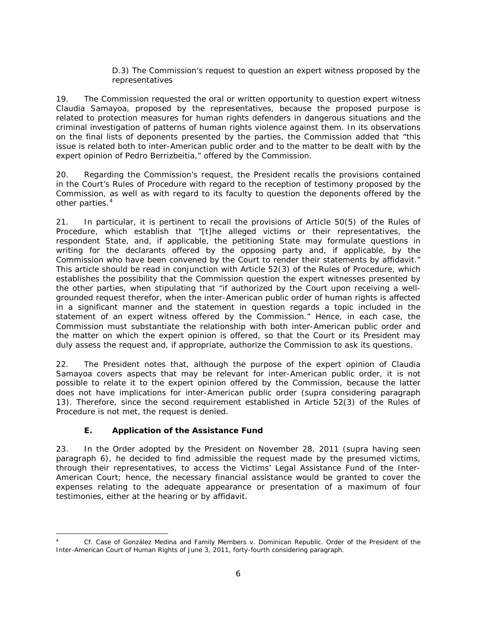### *D.3) The Commission's request to question an expert witness proposed by the representatives*

19. The Commission requested the oral or written opportunity to question expert witness Claudia Samayoa, proposed by the representatives, because the proposed purpose is related to protection measures for human rights defenders in dangerous situations and the criminal investigation of patterns of human rights violence against them. In its observations on the final lists of deponents presented by the parties, the Commission added that "this issue is related both to inter-American public order and to the matter to be dealt with by the expert opinion of Pedro Berrizbeitia," offered by the Commission.

20. Regarding the Commission's request, the President recalls the provisions contained in the Court's Rules of Procedure with regard to the reception of testimony proposed by the Commission, as well as with regard to its faculty to question the deponents offered by the other parties.<sup>[4](#page-5-0)</sup>

21. In particular, it is pertinent to recall the provisions of Article 50(5) of the Rules of Procedure, which establish that "[t]he alleged victims or their representatives, the respondent State, and, if applicable, the petitioning State may formulate questions in writing for the declarants offered by the opposing party and, if applicable, by the Commission who have been convened by the Court to render their statements by affidavit." This article should be read in conjunction with Article 52(3) of the Rules of Procedure, which establishes the possibility that the Commission question the expert witnesses presented by the other parties, when stipulating that "if authorized by the Court upon receiving a wellgrounded request therefor, when the inter-American public order of human rights is affected in a significant manner and the statement in question regards a topic included in the statement of an expert witness offered by the Commission." Hence, in each case, the Commission must substantiate the relationship with both inter-American public order and the matter on which the expert opinion is offered, so that the Court or its President may duly assess the request and, if appropriate, authorize the Commission to ask its questions.

22. The President notes that, although the purpose of the expert opinion of Claudia Samayoa covers aspects that may be relevant for inter-American public order, it is not possible to relate it to the expert opinion offered by the Commission, because the latter does not have implications for inter-American public order (*supra* considering paragraph 13). Therefore, since the second requirement established in Article 52(3) of the Rules of Procedure is not met, the request is denied.

# *E. Application of the Assistance Fund*

 $\overline{a}$ 

23. In the Order adopted by the President on November 28, 2011 (*supra* having seen paragraph 6), he decided to find admissible the request made by the presumed victims, through their representatives, to access the Victims' Legal Assistance Fund of the Inter-American Court; hence, the necessary financial assistance would be granted to cover the expenses relating to the adequate appearance or presentation of a maximum of four testimonies, either at the hearing or by affidavit.

<span id="page-5-0"></span>Cf. Case of González Medina and Family Members v. Dominican Republic. Order of the President of the Inter-American Court of Human Rights of June 3, 2011, forty-fourth considering paragraph.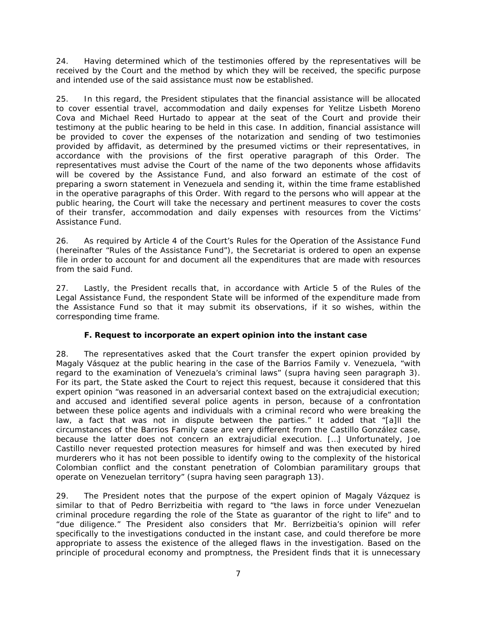24. Having determined which of the testimonies offered by the representatives will be received by the Court and the method by which they will be received, the specific purpose and intended use of the said assistance must now be established.

25. In this regard, the President stipulates that the financial assistance will be allocated to cover essential travel, accommodation and daily expenses for Yelitze Lisbeth Moreno Cova and Michael Reed Hurtado to appear at the seat of the Court and provide their testimony at the public hearing to be held in this case. In addition, financial assistance will be provided to cover the expenses of the notarization and sending of two testimonies provided by affidavit, as determined by the presumed victims or their representatives, in accordance with the provisions of the first operative paragraph of this Order. The representatives must advise the Court of the name of the two deponents whose affidavits will be covered by the Assistance Fund, and also forward an estimate of the cost of preparing a sworn statement in Venezuela and sending it, within the time frame established in the operative paragraphs of this Order. With regard to the persons who will appear at the public hearing, the Court will take the necessary and pertinent measures to cover the costs of their transfer, accommodation and daily expenses with resources from the Victims' Assistance Fund.

26. As required by Article 4 of the Court's Rules for the Operation of the Assistance Fund (hereinafter "Rules of the Assistance Fund"), the Secretariat is ordered to open an expense file in order to account for and document all the expenditures that are made with resources from the said Fund.

27. Lastly, the President recalls that, in accordance with Article 5 of the Rules of the Legal Assistance Fund, the respondent State will be informed of the expenditure made from the Assistance Fund so that it may submit its observations, if it so wishes, within the corresponding time frame.

# *F. Request to incorporate an expert opinion into the instant case*

28. The representatives asked that the Court transfer the expert opinion provided by Magaly Vásquez at the public hearing in the *case of the Barrios Family v. Venezuela*, "with regard to the examination of Venezuela's criminal laws" (*supra* having seen paragraph 3). For its part, the State asked the Court to reject this request, because it considered that this expert opinion "was reasoned in an adversarial context based on the extrajudicial execution; and accused and identified several police agents in person, because of a confrontation between these police agents and individuals with a criminal record who were breaking the law, a fact that was not in dispute between the parties." It added that "[a]ll the circumstances of the Barrios Family case are very different from the Castillo González case, because the latter does not concern an extrajudicial execution. […] Unfortunately, Joe Castillo never requested protection measures for himself and was then executed by hired murderers who it has not been possible to identify owing to the complexity of the historical Colombian conflict and the constant penetration of Colombian paramilitary groups that operate on Venezuelan territory" (*supra* having seen paragraph 13).

29. The President notes that the purpose of the expert opinion of Magaly Vázquez is similar to that of Pedro Berrizbeitia with regard to "the laws in force under Venezuelan criminal procedure regarding the role of the State as guarantor of the right to life" and to "due diligence." The President also considers that Mr. Berrizbeitia's opinion will refer specifically to the investigations conducted in the instant case, and could therefore be more appropriate to assess the existence of the alleged flaws in the investigation. Based on the principle of procedural economy and promptness, the President finds that it is unnecessary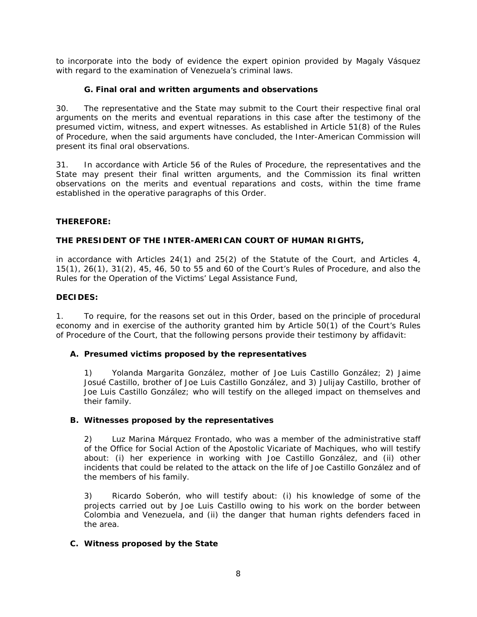to incorporate into the body of evidence the expert opinion provided by Magaly Vásquez with regard to the examination of Venezuela's criminal laws.

## *G. Final oral and written arguments and observations*

30. The representative and the State may submit to the Court their respective final oral arguments on the merits and eventual reparations in this case after the testimony of the presumed victim, witness, and expert witnesses. As established in Article 51(8) of the Rules of Procedure, when the said arguments have concluded, the Inter-American Commission will present its final oral observations.

31. In accordance with Article 56 of the Rules of Procedure, the representatives and the State may present their final written arguments, and the Commission its final written observations on the merits and eventual reparations and costs, within the time frame established in the operative paragraphs of this Order.

### **THEREFORE:**

## **THE PRESIDENT OF THE INTER-AMERICAN COURT OF HUMAN RIGHTS,**

in accordance with Articles 24(1) and 25(2) of the Statute of the Court, and Articles 4, 15(1), 26(1), 31(2), 45, 46, 50 to 55 and 60 of the Court's Rules of Procedure, and also the Rules for the Operation of the Victims' Legal Assistance Fund,

### **DECIDES:**

1. To require, for the reasons set out in this Order, based on the principle of procedural economy and in exercise of the authority granted him by Article 50(1) of the Court's Rules of Procedure of the Court, that the following persons provide their testimony by affidavit:

### **A.** *Presumed victims* **proposed by the representatives**

*1) Yolanda Margarita González,* mother of Joe Luis Castillo González*; 2) Jaime Josué Castillo,* brother of Joe Luis Castillo González*,* and *3) Julijay Castillo*, brother of Joe Luis Castillo González*;* who will testify on the alleged impact on themselves and their family.

### *B. Witnesses proposed by the representatives*

*2) Luz Marina Márquez Frontado*, who was a member of the administrative staff of the Office for Social Action of the Apostolic Vicariate of Machiques, who will testify about: (i) her experience in working with Joe Castillo González, and (ii) other incidents that could be related to the attack on the life of Joe Castillo González and of the members of his family.

*3) Ricardo Soberón,* who will testify about: (i) his knowledge of some of the projects carried out by Joe Luis Castillo owing to his work on the border between Colombia and Venezuela, and (ii) the danger that human rights defenders faced in the area.

### **C.** *Witness proposed by the State*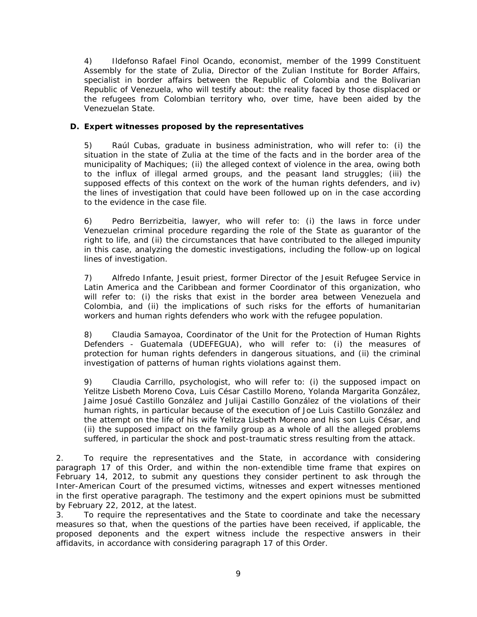*4) Ildefonso Rafael Finol Ocando*, economist, member of the 1999 Constituent Assembly for the state of Zulia, Director of the Zulian Institute for Border Affairs, specialist in border affairs between the Republic of Colombia and the Bolivarian Republic of Venezuela, who will testify about: the reality faced by those displaced or the refugees from Colombian territory who, over time, have been aided by the Venezuelan State.

## **D.** *Expert witnesses proposed by the representatives*

*5) Raúl Cubas*, graduate in business administration, who will refer to: (i) the situation in the state of Zulia at the time of the facts and in the border area of the municipality of Machiques; (ii) the alleged context of violence in the area, owing both to the influx of illegal armed groups, and the peasant land struggles; (iii) the supposed effects of this context on the work of the human rights defenders, and iv) the lines of investigation that could have been followed up on in the case according to the evidence in the case file.

*6) Pedro Berrizbeitia*, lawyer, who will refer to: (i) the laws in force under Venezuelan criminal procedure regarding the role of the State as guarantor of the right to life, and (ii) the circumstances that have contributed to the alleged impunity in this case, analyzing the domestic investigations, including the follow-up on logical lines of investigation.

*7) Alfredo Infante*, Jesuit priest, former Director of the Jesuit Refugee Service in Latin America and the Caribbean and former Coordinator of this organization, who will refer to: (i) the risks that exist in the border area between Venezuela and Colombia, and (ii) the implications of such risks for the efforts of humanitarian workers and human rights defenders who work with the refugee population.

*8) Claudia Samayoa*, Coordinator of the Unit for the Protection of Human Rights Defenders - Guatemala (UDEFEGUA), who will refer to: (i) the measures of protection for human rights defenders in dangerous situations, and (ii) the criminal investigation of patterns of human rights violations against them.

*9) Claudia Carrillo*, psychologist, who will refer to: (i) the supposed impact on Yelitze Lisbeth Moreno Cova, Luis César Castillo Moreno, Yolanda Margarita González, Jaime Josué Castillo González and Julijai Castillo González of the violations of their human rights, in particular because of the execution of Joe Luis Castillo González and the attempt on the life of his wife Yelitza Lisbeth Moreno and his son Luis César, and (ii) the supposed impact on the family group as a whole of all the alleged problems suffered, in particular the shock and post-traumatic stress resulting from the attack.

2. To require the representatives and the State, in accordance with considering paragraph 17 of this Order, and within the non-extendible time frame that expires on February 14, 2012, to submit any questions they consider pertinent to ask through the Inter-American Court of the presumed victims, witnesses and expert witnesses mentioned in the first operative paragraph. The testimony and the expert opinions must be submitted by February 22, 2012, at the latest.

3. To require the representatives and the State to coordinate and take the necessary measures so that, when the questions of the parties have been received, if applicable, the proposed deponents and the expert witness include the respective answers in their affidavits, in accordance with considering paragraph 17 of this Order.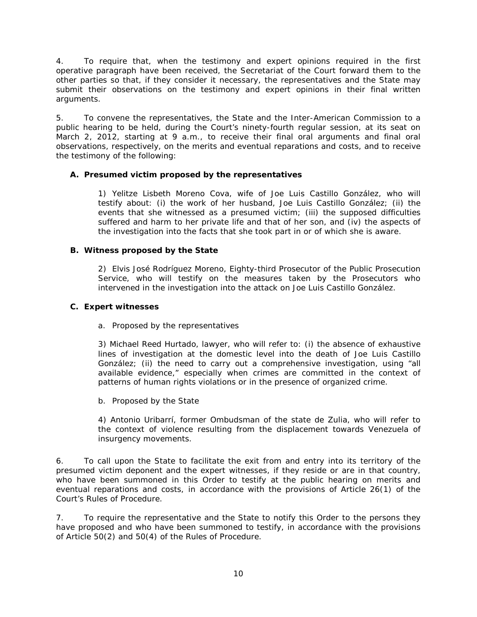4. To require that, when the testimony and expert opinions required in the first operative paragraph have been received, the Secretariat of the Court forward them to the other parties so that, if they consider it necessary, the representatives and the State may submit their observations on the testimony and expert opinions in their final written arguments.

5. To convene the representatives, the State and the Inter-American Commission to a public hearing to be held, during the Court's ninety-fourth regular session, at its seat on March 2, 2012, starting at 9 a.m., to receive their final oral arguments and final oral observations, respectively, on the merits and eventual reparations and costs, and to receive the testimony of the following:

## **A.** *Presumed victim proposed by the representatives*

*1) Yelitze Lisbeth Moreno Cova,* wife of Joe Luis Castillo González, who will testify about: (i) the work of her husband, Joe Luis Castillo González; (ii) the events that she witnessed as a presumed victim; (iii) the supposed difficulties suffered and harm to her private life and that of her son, and (iv) the aspects of the investigation into the facts that she took part in or of which she is aware.

## **B.** *Witness proposed by the State*

*2) Elvis José Rodríguez Moreno,* Eighty-third Prosecutor of the Public Prosecution Service, who will testify on the measures taken by the Prosecutors who intervened in the investigation into the attack on Joe Luis Castillo González.

## *C. Expert witnesses*

### a. *Proposed by the representatives*

*3) Michael Reed Hurtado,* lawyer, who will refer to: (i) the absence of exhaustive lines of investigation at the domestic level into the death of Joe Luis Castillo González; (ii) the need to carry out a comprehensive investigation, using "all available evidence," especially when crimes are committed in the context of patterns of human rights violations or in the presence of organized crime.

### b. *Proposed by the State*

*4) Antonio Uribarrí*, former Ombudsman of the state de Zulia, who will refer to the context of violence resulting from the displacement towards Venezuela of insurgency movements.

6. To call upon the State to facilitate the exit from and entry into its territory of the presumed victim deponent and the expert witnesses, if they reside or are in that country, who have been summoned in this Order to testify at the public hearing on merits and eventual reparations and costs, in accordance with the provisions of Article 26(1) of the Court's Rules of Procedure.

7. To require the representative and the State to notify this Order to the persons they have proposed and who have been summoned to testify, in accordance with the provisions of Article 50(2) and 50(4) of the Rules of Procedure.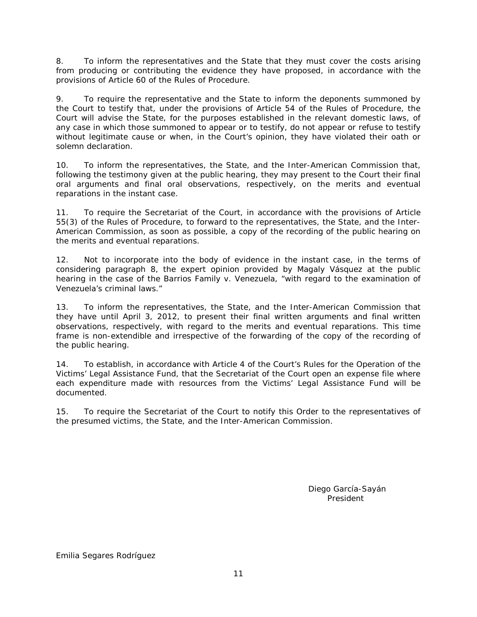8. To inform the representatives and the State that they must cover the costs arising from producing or contributing the evidence they have proposed, in accordance with the provisions of Article 60 of the Rules of Procedure.

9. To require the representative and the State to inform the deponents summoned by the Court to testify that, under the provisions of Article 54 of the Rules of Procedure, the Court will advise the State, for the purposes established in the relevant domestic laws, of any case in which those summoned to appear or to testify, do not appear or refuse to testify without legitimate cause or when, in the Court's opinion, they have violated their oath or solemn declaration.

10. To inform the representatives, the State, and the Inter-American Commission that, following the testimony given at the public hearing, they may present to the Court their final oral arguments and final oral observations, respectively, on the merits and eventual reparations in the instant case.

11. To require the Secretariat of the Court, in accordance with the provisions of Article 55(3) of the Rules of Procedure, to forward to the representatives, the State, and the Inter-American Commission, as soon as possible, a copy of the recording of the public hearing on the merits and eventual reparations.

12. Not to incorporate into the body of evidence in the instant case, in the terms of considering paragraph 8, the expert opinion provided by Magaly Vásquez at the public hearing in the *case of the Barrios Family v. Venezuela*, "with regard to the examination of Venezuela's criminal laws."

13. To inform the representatives, the State, and the Inter-American Commission that they have until April 3, 2012, to present their final written arguments and final written observations, respectively, with regard to the merits and eventual reparations. This time frame is non-extendible and irrespective of the forwarding of the copy of the recording of the public hearing.

14. To establish, in accordance with Article 4 of the Court's Rules for the Operation of the Victims' Legal Assistance Fund, that the Secretariat of the Court open an expense file where each expenditure made with resources from the Victims' Legal Assistance Fund will be documented.

15. To require the Secretariat of the Court to notify this Order to the representatives of the presumed victims, the State, and the Inter-American Commission.

> Diego García-Sayán President

Emilia Segares Rodríguez